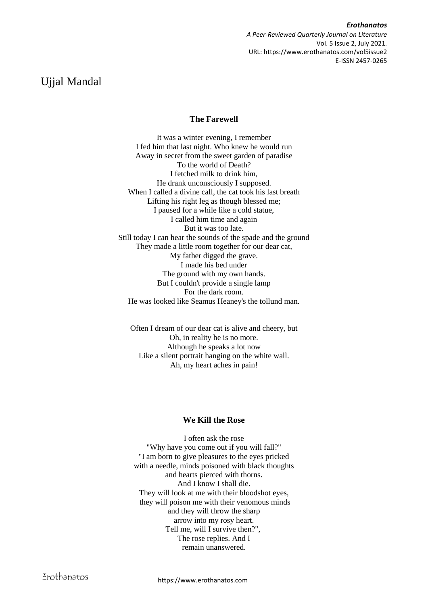*Erothanatos A Peer-Reviewed Quarterly Journal on Literature* Vol. 5 Issue 2, July 2021. URL: https://www.erothanatos.com/vol5issue2 E-ISSN 2457-0265

# Ujjal Mandal

## **The Farewell**

It was a winter evening, I remember I fed him that last night. Who knew he would run Away in secret from the sweet garden of paradise To the world of Death? I fetched milk to drink him, He drank unconsciously I supposed. When I called a divine call, the cat took his last breath Lifting his right leg as though blessed me; I paused for a while like a cold statue, I called him time and again But it was too late. Still today I can hear the sounds of the spade and the ground They made a little room together for our dear cat, My father digged the grave. I made his bed under The ground with my own hands. But I couldn't provide a single lamp For the dark room. He was looked like Seamus Heaney's the tollund man.

Often I dream of our dear cat is alive and cheery, but Oh, in reality he is no more. Although he speaks a lot now Like a silent portrait hanging on the white wall. Ah, my heart aches in pain!

## **We Kill the Rose**

I often ask the rose "Why have you come out if you will fall?" "I am born to give pleasures to the eyes pricked with a needle, minds poisoned with black thoughts and hearts pierced with thorns. And I know I shall die. They will look at me with their bloodshot eyes, they will poison me with their venomous minds and they will throw the sharp arrow into my rosy heart. Tell me, will I survive then?", The rose replies. And I remain unanswered.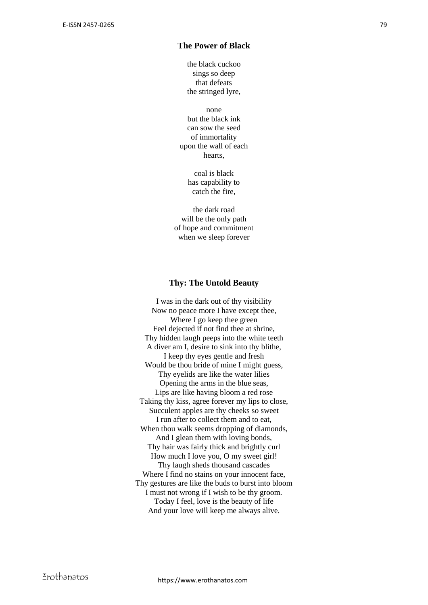#### **The Power of Black**

the black cuckoo sings so deep that defeats the stringed lyre,

none but the black ink can sow the seed of immortality upon the wall of each hearts,

> coal is black has capability to catch the fire,

the dark road will be the only path of hope and commitment when we sleep forever

#### **Thy: The Untold Beauty**

I was in the dark out of thy visibility Now no peace more I have except thee, Where I go keep thee green Feel dejected if not find thee at shrine, Thy hidden laugh peeps into the white teeth A diver am I, desire to sink into thy blithe, I keep thy eyes gentle and fresh Would be thou bride of mine I might guess, Thy eyelids are like the water lilies Opening the arms in the blue seas, Lips are like having bloom a red rose Taking thy kiss, agree forever my lips to close, Succulent apples are thy cheeks so sweet I run after to collect them and to eat, When thou walk seems dropping of diamonds, And I glean them with loving bonds, Thy hair was fairly thick and brightly curl How much I love you, O my sweet girl! Thy laugh sheds thousand cascades Where I find no stains on your innocent face, Thy gestures are like the buds to burst into bloom I must not wrong if I wish to be thy groom. Today I feel, love is the beauty of life And your love will keep me always alive.